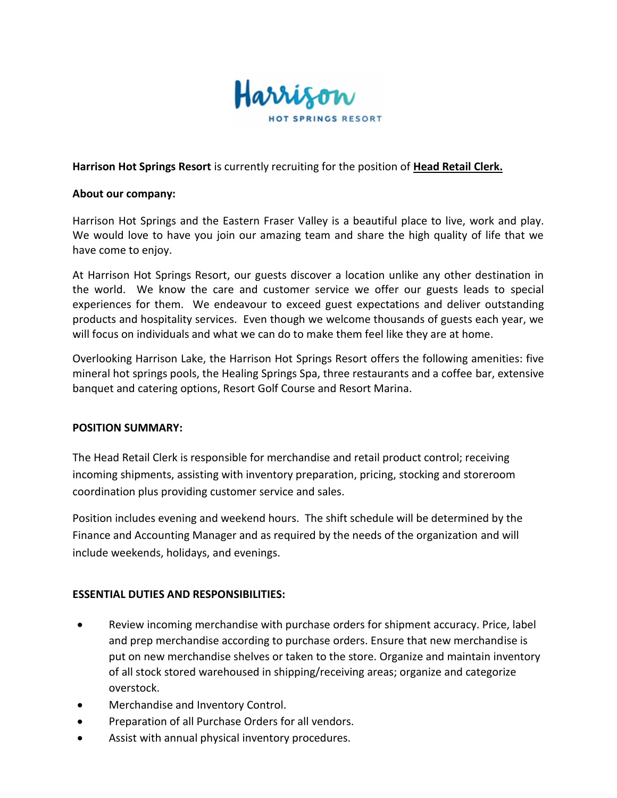

## **Harrison Hot Springs Resort** is currently recruiting for the position of **Head Retail Clerk.**

#### **About our company:**

Harrison Hot Springs and the Eastern Fraser Valley is a beautiful place to live, work and play. We would love to have you join our amazing team and share the high quality of life that we have come to enjoy.

At Harrison Hot Springs Resort, our guests discover a location unlike any other destination in the world. We know the care and customer service we offer our guests leads to special experiences for them. We endeavour to exceed guest expectations and deliver outstanding products and hospitality services. Even though we welcome thousands of guests each year, we will focus on individuals and what we can do to make them feel like they are at home.

Overlooking Harrison Lake, the Harrison Hot Springs Resort offers the following amenities: five mineral hot springs pools, the Healing Springs Spa, three restaurants and a coffee bar, extensive banquet and catering options, Resort Golf Course and Resort Marina.

### **POSITION SUMMARY:**

The Head Retail Clerk is responsible for merchandise and retail product control; receiving incoming shipments, assisting with inventory preparation, pricing, stocking and storeroom coordination plus providing customer service and sales.

Position includes evening and weekend hours. The shift schedule will be determined by the Finance and Accounting Manager and as required by the needs of the organization and will include weekends, holidays, and evenings.

### **ESSENTIAL DUTIES AND RESPONSIBILITIES:**

- Review incoming merchandise with purchase orders for shipment accuracy. Price, label and prep merchandise according to purchase orders. Ensure that new merchandise is put on new merchandise shelves or taken to the store. Organize and maintain inventory of all stock stored warehoused in shipping/receiving areas; organize and categorize overstock.
- Merchandise and Inventory Control.
- Preparation of all Purchase Orders for all vendors.
- Assist with annual physical inventory procedures.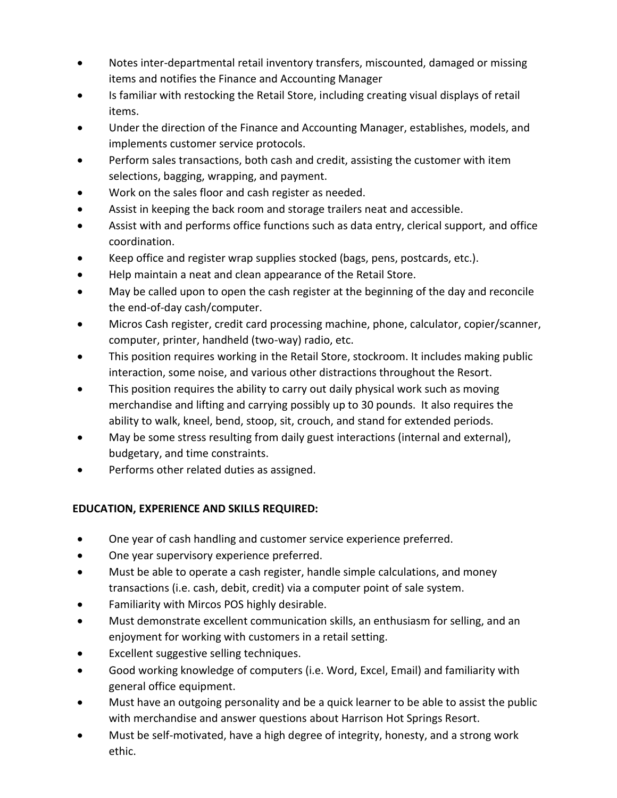- Notes inter-departmental retail inventory transfers, miscounted, damaged or missing items and notifies the Finance and Accounting Manager
- Is familiar with restocking the Retail Store, including creating visual displays of retail items.
- Under the direction of the Finance and Accounting Manager, establishes, models, and implements customer service protocols.
- Perform sales transactions, both cash and credit, assisting the customer with item selections, bagging, wrapping, and payment.
- Work on the sales floor and cash register as needed.
- Assist in keeping the back room and storage trailers neat and accessible.
- Assist with and performs office functions such as data entry, clerical support, and office coordination.
- Keep office and register wrap supplies stocked (bags, pens, postcards, etc.).
- Help maintain a neat and clean appearance of the Retail Store.
- May be called upon to open the cash register at the beginning of the day and reconcile the end-of-day cash/computer.
- Micros Cash register, credit card processing machine, phone, calculator, copier/scanner, computer, printer, handheld (two-way) radio, etc.
- This position requires working in the Retail Store, stockroom. It includes making public interaction, some noise, and various other distractions throughout the Resort.
- This position requires the ability to carry out daily physical work such as moving merchandise and lifting and carrying possibly up to 30 pounds. It also requires the ability to walk, kneel, bend, stoop, sit, crouch, and stand for extended periods.
- May be some stress resulting from daily guest interactions (internal and external), budgetary, and time constraints.
- Performs other related duties as assigned.

# **EDUCATION, EXPERIENCE AND SKILLS REQUIRED:**

- One year of cash handling and customer service experience preferred.
- One year supervisory experience preferred.
- Must be able to operate a cash register, handle simple calculations, and money transactions (i.e. cash, debit, credit) via a computer point of sale system.
- Familiarity with Mircos POS highly desirable.
- Must demonstrate excellent communication skills, an enthusiasm for selling, and an enjoyment for working with customers in a retail setting.
- Excellent suggestive selling techniques.
- Good working knowledge of computers (i.e. Word, Excel, Email) and familiarity with general office equipment.
- Must have an outgoing personality and be a quick learner to be able to assist the public with merchandise and answer questions about Harrison Hot Springs Resort.
- Must be self-motivated, have a high degree of integrity, honesty, and a strong work ethic.